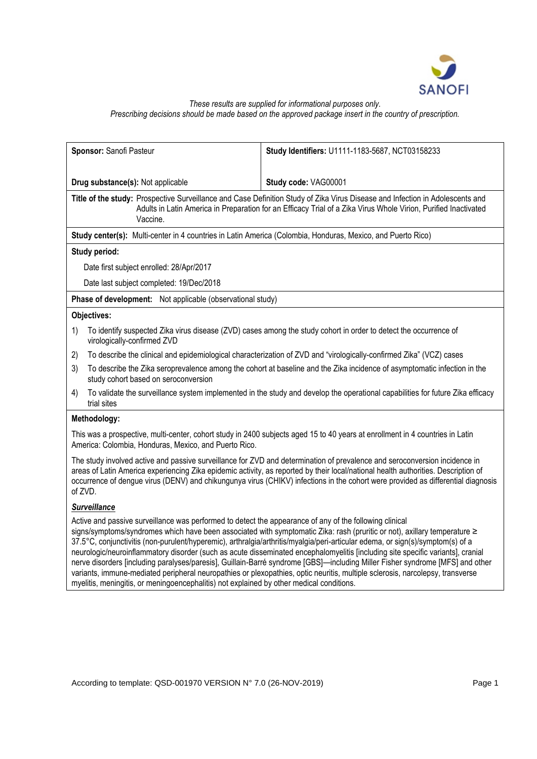

# *These results are supplied for informational purposes only. Prescribing decisions should be made based on the approved package insert in the country of prescription.*

| Sponsor: Sanofi Pasteur                                                                                                                                                                                                                                                                                                                                                                                         | Study Identifiers: U1111-1183-5687, NCT03158233 |  |
|-----------------------------------------------------------------------------------------------------------------------------------------------------------------------------------------------------------------------------------------------------------------------------------------------------------------------------------------------------------------------------------------------------------------|-------------------------------------------------|--|
|                                                                                                                                                                                                                                                                                                                                                                                                                 |                                                 |  |
| Drug substance(s): Not applicable                                                                                                                                                                                                                                                                                                                                                                               | Study code: VAG00001                            |  |
| Title of the study: Prospective Surveillance and Case Definition Study of Zika Virus Disease and Infection in Adolescents and<br>Adults in Latin America in Preparation for an Efficacy Trial of a Zika Virus Whole Virion, Purified Inactivated<br>Vaccine.                                                                                                                                                    |                                                 |  |
| Study center(s): Multi-center in 4 countries in Latin America (Colombia, Honduras, Mexico, and Puerto Rico)                                                                                                                                                                                                                                                                                                     |                                                 |  |
| Study period:                                                                                                                                                                                                                                                                                                                                                                                                   |                                                 |  |
| Date first subject enrolled: 28/Apr/2017                                                                                                                                                                                                                                                                                                                                                                        |                                                 |  |
| Date last subject completed: 19/Dec/2018                                                                                                                                                                                                                                                                                                                                                                        |                                                 |  |
| Phase of development: Not applicable (observational study)                                                                                                                                                                                                                                                                                                                                                      |                                                 |  |
| Objectives:                                                                                                                                                                                                                                                                                                                                                                                                     |                                                 |  |
| To identify suspected Zika virus disease (ZVD) cases among the study cohort in order to detect the occurrence of<br>1)<br>virologically-confirmed ZVD                                                                                                                                                                                                                                                           |                                                 |  |
| To describe the clinical and epidemiological characterization of ZVD and "virologically-confirmed Zika" (VCZ) cases<br>2)                                                                                                                                                                                                                                                                                       |                                                 |  |
| To describe the Zika seroprevalence among the cohort at baseline and the Zika incidence of asymptomatic infection in the<br>3)<br>study cohort based on seroconversion                                                                                                                                                                                                                                          |                                                 |  |
| To validate the surveillance system implemented in the study and develop the operational capabilities for future Zika efficacy<br>4)<br>trial sites                                                                                                                                                                                                                                                             |                                                 |  |
| Methodology:                                                                                                                                                                                                                                                                                                                                                                                                    |                                                 |  |
| This was a prospective, multi-center, cohort study in 2400 subjects aged 15 to 40 years at enrollment in 4 countries in Latin<br>America: Colombia, Honduras, Mexico, and Puerto Rico.                                                                                                                                                                                                                          |                                                 |  |
| The study involved active and passive surveillance for ZVD and determination of prevalence and seroconversion incidence in<br>areas of Latin America experiencing Zika epidemic activity, as reported by their local/national health authorities. Description of<br>occurrence of dengue virus (DENV) and chikungunya virus (CHIKV) infections in the cohort were provided as differential diagnosis<br>of ZVD. |                                                 |  |
| <b>Surveillance</b>                                                                                                                                                                                                                                                                                                                                                                                             |                                                 |  |

Active and passive surveillance was performed to detect the appearance of any of the following clinical signs/symptoms/syndromes which have been associated with symptomatic Zika: rash (pruritic or not), axillary temperature ≥ 37.5° C, conjunctivitis (non-purulent/hyperemic), arthralgia/arthritis/myalgia/peri-articular edema, or sign(s)/symptom(s) of a neurologic/neuroinflammatory disorder (such as acute disseminated encephalomyelitis [including site specific variants], cranial nerve disorders [including paralyses/paresis], Guillain-Barré syndrome [GBS]—including Miller Fisher syndrome [MFS] and other variants, immune-mediated peripheral neuropathies or plexopathies, optic neuritis, multiple sclerosis, narcolepsy, transverse myelitis, meningitis, or meningoencephalitis) not explained by other medical conditions.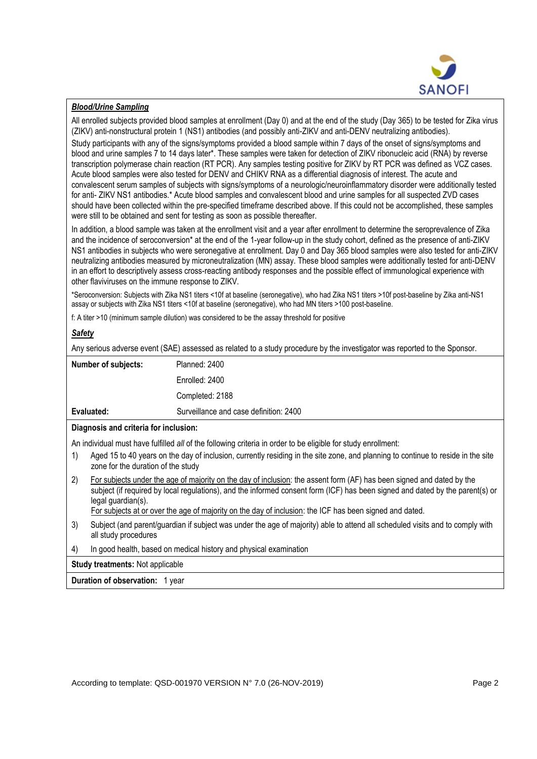

## *Blood/Urine Sampling*

All enrolled subjects provided blood samples at enrollment (Day 0) and at the end of the study (Day 365) to be tested for Zika virus (ZIKV) anti-nonstructural protein 1 (NS1) antibodies (and possibly anti-ZIKV and anti-DENV neutralizing antibodies).

Study participants with any of the signs/symptoms provided a blood sample within 7 days of the onset of signs/symptoms and blood and urine samples 7 to 14 days later\*. These samples were taken for detection of ZIKV ribonucleic acid (RNA) by reverse transcription polymerase chain reaction (RT PCR). Any samples testing positive for ZIKV by RT PCR was defined as VCZ cases. Acute blood samples were also tested for DENV and CHIKV RNA as a differential diagnosis of interest. The acute and convalescent serum samples of subjects with signs/symptoms of a neurologic/neuroinflammatory disorder were additionally tested for anti- ZIKV NS1 antibodies.\* Acute blood samples and convalescent blood and urine samples for all suspected ZVD cases should have been collected within the pre-specified timeframe described above. If this could not be accomplished, these samples were still to be obtained and sent for testing as soon as possible thereafter.

In addition, a blood sample was taken at the enrollment visit and a year after enrollment to determine the seroprevalence of Zika and the incidence of seroconversion\* at the end of the 1-year follow-up in the study cohort, defined as the presence of anti-ZIKV NS1 antibodies in subjects who were seronegative at enrollment. Day 0 and Day 365 blood samples were also tested for anti-ZIKV neutralizing antibodies measured by microneutralization (MN) assay. These blood samples were additionally tested for anti-DENV in an effort to descriptively assess cross-reacting antibody responses and the possible effect of immunological experience with other flaviviruses on the immune response to ZIKV.

\*Seroconversion: Subjects with Zika NS1 titers <10f at baseline (seronegative), who had Zika NS1 titers >10f post-baseline by Zika anti-NS1 assay or subjects with Zika NS1 titers <10f at baseline (seronegative), who had MN titers >100 post-baseline.

f: A titer >10 (minimum sample dilution) was considered to be the assay threshold for positive

### *Safety*

Any serious adverse event (SAE) assessed as related to a study procedure by the investigator was reported to the Sponsor.

| <b>Number of subjects:</b> | Planned: 2400                          |
|----------------------------|----------------------------------------|
|                            | Enrolled: 2400                         |
|                            | Completed: 2188                        |
| Evaluated:                 | Surveillance and case definition: 2400 |

#### **Diagnosis and criteria for inclusion:**

An individual must have fulfilled *all* of the following criteria in order to be eligible for study enrollment:

- 1) Aged 15 to 40 years on the day of inclusion, currently residing in the site zone, and planning to continue to reside in the site zone for the duration of the study
- 2) For subjects under the age of majority on the day of inclusion: the assent form (AF) has been signed and dated by the subject (if required by local regulations), and the informed consent form (ICF) has been signed and dated by the parent(s) or legal guardian(s).

For subjects at or over the age of majority on the day of inclusion: the ICF has been signed and dated.

- 3) Subject (and parent/guardian if subject was under the age of majority) able to attend all scheduled visits and to comply with all study procedures
- 4) In good health, based on medical history and physical examination

**Study treatments:** Not applicable

**Duration of observation:** 1 year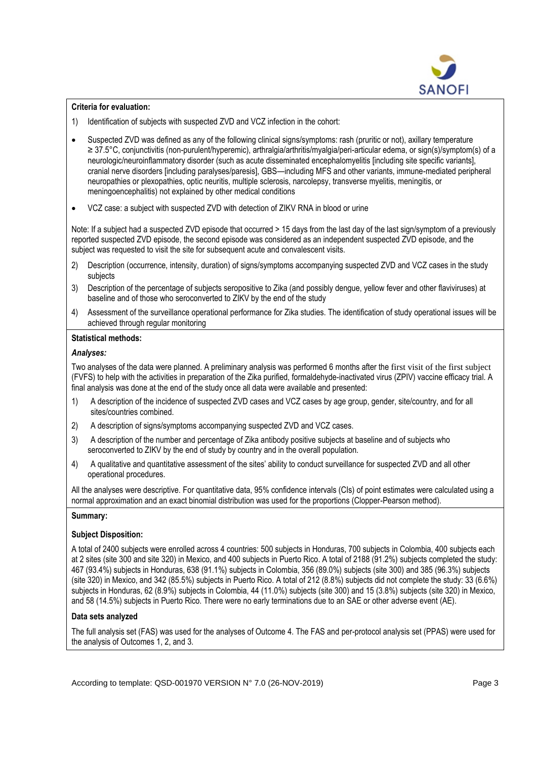

## **Criteria for evaluation:**

- 1) Identification of subjects with suspected ZVD and VCZ infection in the cohort:
- Suspected ZVD was defined as any of the following clinical signs/symptoms: rash (pruritic or not), axillary temperature ≥ 37.5° C, conjunctivitis (non-purulent/hyperemic), arthralgia/arthritis/myalgia/peri-articular edema, or sign(s)/symptom(s) of a neurologic/neuroinflammatory disorder (such as acute disseminated encephalomyelitis [including site specific variants], cranial nerve disorders [including paralyses/paresis], GBS—including MFS and other variants, immune-mediated peripheral neuropathies or plexopathies, optic neuritis, multiple sclerosis, narcolepsy, transverse myelitis, meningitis, or meningoencephalitis) not explained by other medical conditions
- VCZ case: a subject with suspected ZVD with detection of ZIKV RNA in blood or urine

Note: If a subject had a suspected ZVD episode that occurred > 15 days from the last day of the last sign/symptom of a previously reported suspected ZVD episode, the second episode was considered as an independent suspected ZVD episode, and the subject was requested to visit the site for subsequent acute and convalescent visits.

- 2) Description (occurrence, intensity, duration) of signs/symptoms accompanying suspected ZVD and VCZ cases in the study subjects
- 3) Description of the percentage of subjects seropositive to Zika (and possibly dengue, yellow fever and other flaviviruses) at baseline and of those who seroconverted to ZIKV by the end of the study
- 4) Assessment of the surveillance operational performance for Zika studies. The identification of study operational issues will be achieved through regular monitoring

# **Statistical methods:**

# *Analyses:*

Two analyses of the data were planned. A preliminary analysis was performed 6 months after the first visit of the first subject (FVFS) to help with the activities in preparation of the Zika purified, formaldehyde-inactivated virus (ZPIV) vaccine efficacy trial. A final analysis was done at the end of the study once all data were available and presented:

- 1) A description of the incidence of suspected ZVD cases and VCZ cases by age group, gender, site/country, and for all sites/countries combined.
- 2) A description of signs/symptoms accompanying suspected ZVD and VCZ cases.
- 3) A description of the number and percentage of Zika antibody positive subjects at baseline and of subjects who seroconverted to ZIKV by the end of study by country and in the overall population.
- 4) A qualitative and quantitative assessment of the sites' ability to conduct surveillance for suspected ZVD and all other operational procedures.

All the analyses were descriptive. For quantitative data, 95% confidence intervals (CIs) of point estimates were calculated using a normal approximation and an exact binomial distribution was used for the proportions (Clopper-Pearson method).

## **Summary:**

## **Subject Disposition:**

A total of 2400 subjects were enrolled across 4 countries: 500 subjects in Honduras, 700 subjects in Colombia, 400 subjects each at 2 sites (site 300 and site 320) in Mexico, and 400 subjects in Puerto Rico. A total of 2188 (91.2%) subjects completed the study: 467 (93.4%) subjects in Honduras, 638 (91.1%) subjects in Colombia, 356 (89.0%) subjects (site 300) and 385 (96.3%) subjects (site 320) in Mexico, and 342 (85.5%) subjects in Puerto Rico. A total of 212 (8.8%) subjects did not complete the study: 33 (6.6%) subjects in Honduras, 62 (8.9%) subjects in Colombia, 44 (11.0%) subjects (site 300) and 15 (3.8%) subjects (site 320) in Mexico, and 58 (14.5%) subjects in Puerto Rico. There were no early terminations due to an SAE or other adverse event (AE).

## **Data sets analyzed**

The full analysis set (FAS) was used for the analyses of Outcome 4. The FAS and per-protocol analysis set (PPAS) were used for the analysis of Outcomes 1, 2, and 3.